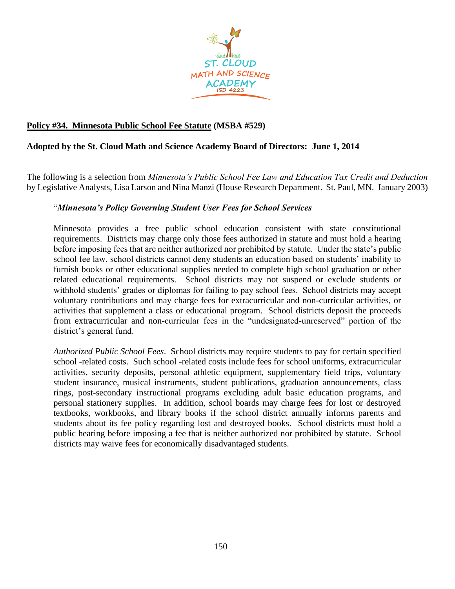

## **Policy #34. Minnesota Public School Fee Statute (MSBA #529)**

## **Adopted by the St. Cloud Math and Science Academy Board of Directors: June 1, 2014**

The following is a selection from *Minnesota's Public School Fee Law and Education Tax Credit and Deduction* by Legislative Analysts, Lisa Larson and Nina Manzi (House Research Department. St. Paul, MN. January 2003)

## "*Minnesota's Policy Governing Student User Fees for School Services*

Minnesota provides a free public school education consistent with state constitutional requirements. Districts may charge only those fees authorized in statute and must hold a hearing before imposing fees that are neither authorized nor prohibited by statute. Under the state's public school fee law, school districts cannot deny students an education based on students' inability to furnish books or other educational supplies needed to complete high school graduation or other related educational requirements. School districts may not suspend or exclude students or withhold students' grades or diplomas for failing to pay school fees. School districts may accept voluntary contributions and may charge fees for extracurricular and non-curricular activities, or activities that supplement a class or educational program. School districts deposit the proceeds from extracurricular and non-curricular fees in the "undesignated-unreserved" portion of the district's general fund.

*Authorized Public School Fees*. School districts may require students to pay for certain specified school -related costs. Such school -related costs include fees for school uniforms, extracurricular activities, security deposits, personal athletic equipment, supplementary field trips, voluntary student insurance, musical instruments, student publications, graduation announcements, class rings, post-secondary instructional programs excluding adult basic education programs, and personal stationery supplies. In addition, school boards may charge fees for lost or destroyed textbooks, workbooks, and library books if the school district annually informs parents and students about its fee policy regarding lost and destroyed books. School districts must hold a public hearing before imposing a fee that is neither authorized nor prohibited by statute. School districts may waive fees for economically disadvantaged students.